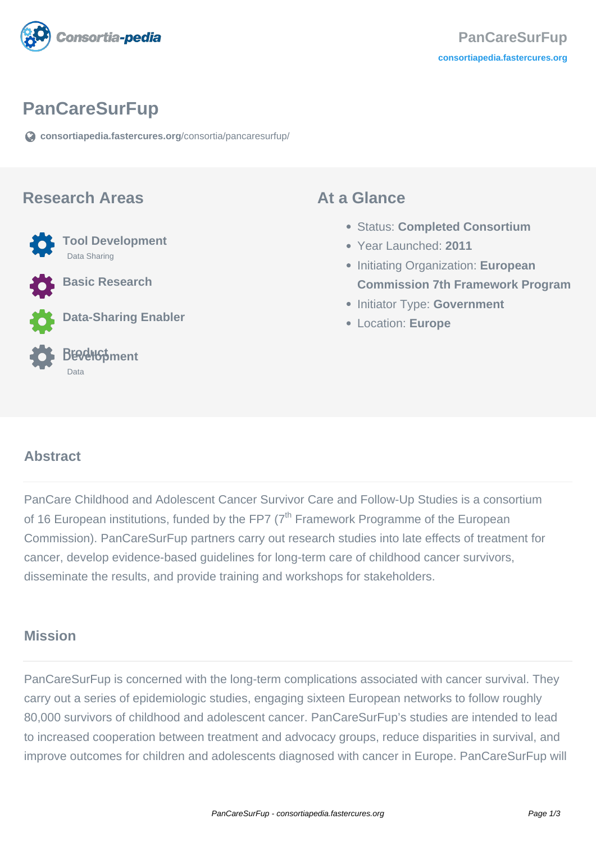

# **PanCareSurFup**

**[consortiapedia.fastercures.org](https://consortiapedia.fastercures.org/consortia/pancaresurfup/)**[/consortia/pancaresurfup/](https://consortiapedia.fastercures.org/consortia/pancaresurfup/)

#### **Research Areas**



**Basic Research**

**Data-Sharing Enabler**



#### **At a Glance**

- Status: **Completed Consortium**
- Year Launched: **2011**
- **Initiating Organization: European Commission 7th Framework Program**
- **Initiator Type: Government**
- Location: **Europe**

#### $\overline{a}$ **Abstract**

PanCare Childhood and Adolescent Cancer Survivor Care and Follow-Up Studies is a consortium of 16 European institutions, funded by the FP7  $(7<sup>th</sup>$  Framework Programme of the European Commission). PanCareSurFup partners carry out research studies into late effects of treatment for cancer, develop evidence-based guidelines for long-term care of childhood cancer survivors, disseminate the results, and provide training and workshops for stakeholders.

## **Mission**

PanCareSurFup is concerned with the long-term complications associated with cancer survival. They carry out a series of epidemiologic studies, engaging sixteen European networks to follow roughly 80,000 survivors of childhood and adolescent cancer. PanCareSurFup's studies are intended to lead to increased cooperation between treatment and advocacy groups, reduce disparities in survival, and improve outcomes for children and adolescents diagnosed with cancer in Europe. PanCareSurFup will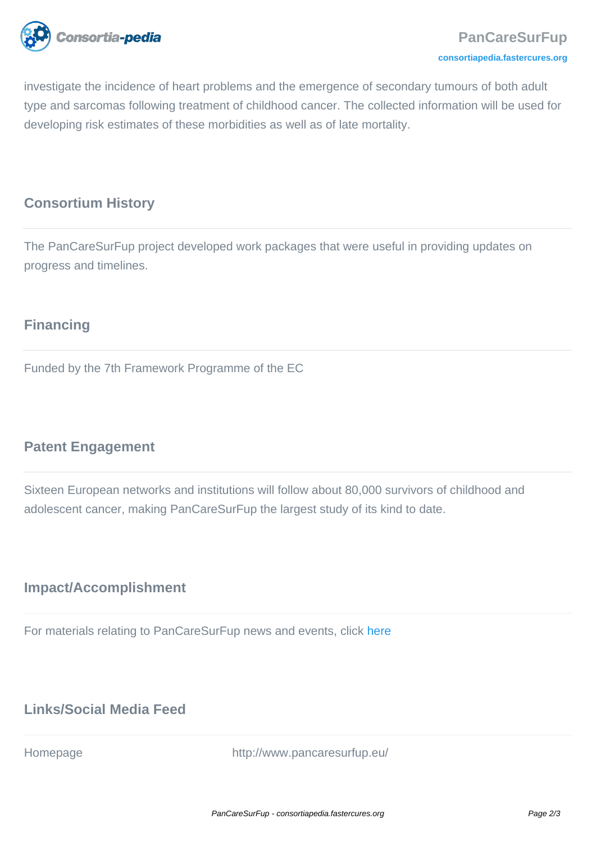

investigate the incidence of heart problems and the emergence of secondary tumours of both adult type and sarcomas following treatment of childhood cancer. The collected information will be used for developing risk estimates of these morbidities as well as of late mortality.

#### **Consortium History**

The PanCareSurFup project developed work packages that were useful in providing updates on progress and timelines.

# **Financing**

Funded by the 7th Framework Programme of the EC

## **Patent Engagement**

Sixteen European networks and institutions will follow about 80,000 survivors of childhood and adolescent cancer, making PanCareSurFup the largest study of its kind to date.

## **Impact/Accomplishment**

For materials relating to PanCareSurFup news and events, click [here](http://www.pancaresurfup.eu/press/)

# **Links/Social Media Feed**

Homepage http://www.pancaresurfup.eu/